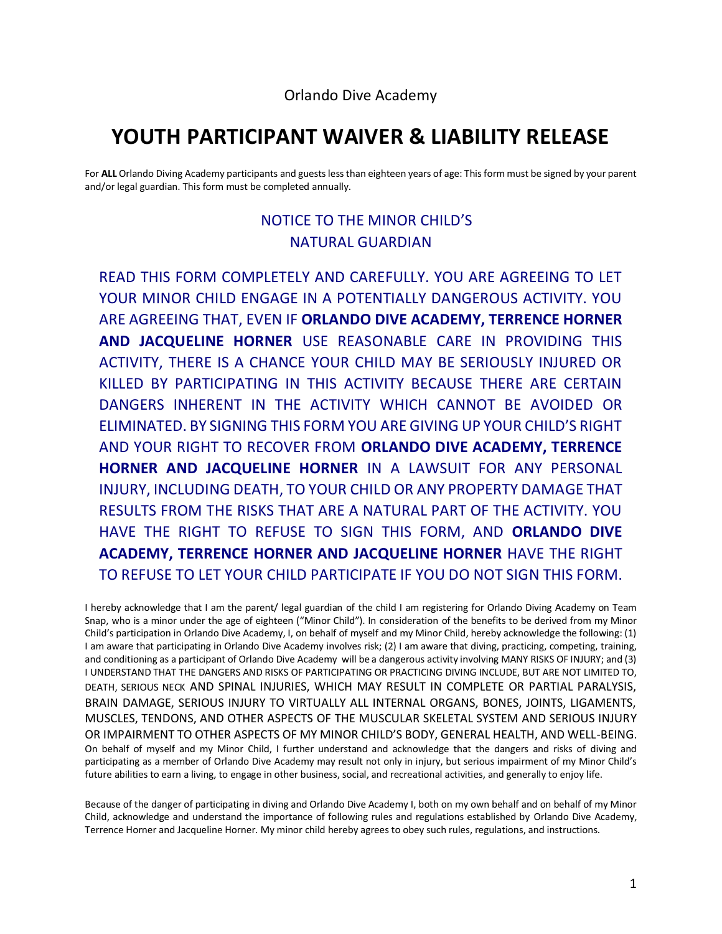## **YOUTH PARTICIPANT WAIVER & LIABILITY RELEASE**

For **ALL** Orlando Diving Academy participants and guests less than eighteen years of age: This form must be signed by your parent and/or legal guardian. This form must be completed annually.

## NOTICE TO THE MINOR CHILD'S NATURAL GUARDIAN

READ THIS FORM COMPLETELY AND CAREFULLY. YOU ARE AGREEING TO LET YOUR MINOR CHILD ENGAGE IN A POTENTIALLY DANGEROUS ACTIVITY. YOU ARE AGREEING THAT, EVEN IF **ORLANDO DIVE ACADEMY, TERRENCE HORNER AND JACQUELINE HORNER** USE REASONABLE CARE IN PROVIDING THIS ACTIVITY, THERE IS A CHANCE YOUR CHILD MAY BE SERIOUSLY INJURED OR KILLED BY PARTICIPATING IN THIS ACTIVITY BECAUSE THERE ARE CERTAIN DANGERS INHERENT IN THE ACTIVITY WHICH CANNOT BE AVOIDED OR ELIMINATED. BY SIGNING THIS FORM YOU ARE GIVING UP YOUR CHILD'S RIGHT AND YOUR RIGHT TO RECOVER FROM **ORLANDO DIVE ACADEMY, TERRENCE HORNER AND JACQUELINE HORNER** IN A LAWSUIT FOR ANY PERSONAL INJURY, INCLUDING DEATH, TO YOUR CHILD OR ANY PROPERTY DAMAGE THAT RESULTS FROM THE RISKS THAT ARE A NATURAL PART OF THE ACTIVITY. YOU HAVE THE RIGHT TO REFUSE TO SIGN THIS FORM, AND **ORLANDO DIVE ACADEMY, TERRENCE HORNER AND JACQUELINE HORNER** HAVE THE RIGHT TO REFUSE TO LET YOUR CHILD PARTICIPATE IF YOU DO NOT SIGN THIS FORM.

I hereby acknowledge that I am the parent/ legal guardian of the child I am registering for Orlando Diving Academy on Team Snap, who is a minor under the age of eighteen ("Minor Child"). In consideration of the benefits to be derived from my Minor Child's participation in Orlando Dive Academy, I, on behalf of myself and my Minor Child, hereby acknowledge the following: (1) I am aware that participating in Orlando Dive Academy involves risk; (2) I am aware that diving, practicing, competing, training, and conditioning as a participant of Orlando Dive Academy will be a dangerous activity involving MANY RISKS OF INJURY; and (3) I UNDERSTAND THAT THE DANGERS AND RISKS OF PARTICIPATING OR PRACTICING DIVING INCLUDE, BUT ARE NOT LIMITED TO, DEATH, SERIOUS NECK AND SPINAL INJURIES, WHICH MAY RESULT IN COMPLETE OR PARTIAL PARALYSIS, BRAIN DAMAGE, SERIOUS INJURY TO VIRTUALLY ALL INTERNAL ORGANS, BONES, JOINTS, LIGAMENTS, MUSCLES, TENDONS, AND OTHER ASPECTS OF THE MUSCULAR SKELETAL SYSTEM AND SERIOUS INJURY OR IMPAIRMENT TO OTHER ASPECTS OF MY MINOR CHILD'S BODY, GENERAL HEALTH, AND WELL-BEING. On behalf of myself and my Minor Child, I further understand and acknowledge that the dangers and risks of diving and participating as a member of Orlando Dive Academy may result not only in injury, but serious impairment of my Minor Child's future abilities to earn a living, to engage in other business, social, and recreational activities, and generally to enjoy life.

Because of the danger of participating in diving and Orlando Dive Academy I, both on my own behalf and on behalf of my Minor Child, acknowledge and understand the importance of following rules and regulations established by Orlando Dive Academy, Terrence Horner and Jacqueline Horner. My minor child hereby agrees to obey such rules, regulations, and instructions.